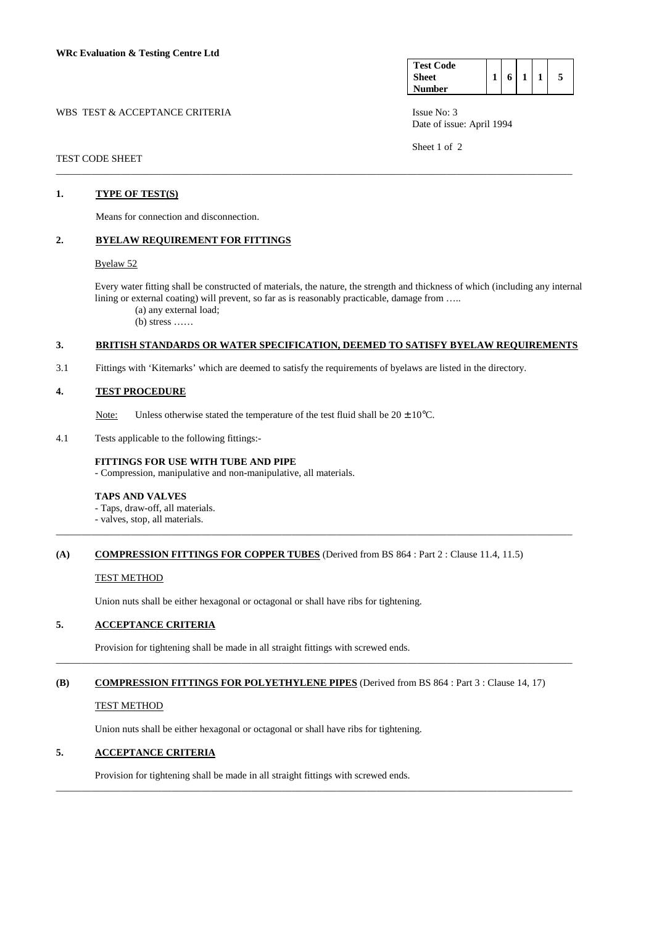| WBS TEST & ACCEPTANCE CRITERIA | Issue No: 3 |
|--------------------------------|-------------|
|                                |             |

| <b>Test Code</b> |   |  |  |
|------------------|---|--|--|
| <b>Sheet</b>     | 6 |  |  |
| Number           |   |  |  |

Date of issue: April 1994

Sheet 1 of 2

#### TEST CODE SHEET \_\_\_\_\_\_\_\_\_\_\_\_\_\_\_\_\_\_\_\_\_\_\_\_\_\_\_\_\_\_\_\_\_\_\_\_\_\_\_\_\_\_\_\_\_\_\_\_\_\_\_\_\_\_\_\_\_\_\_\_\_\_\_\_\_\_\_\_\_\_\_\_\_\_\_\_\_\_\_\_\_\_\_\_\_\_\_\_\_\_\_\_\_\_\_\_\_\_\_\_\_\_\_

## **1. TYPE OF TEST(S)**

Means for connection and disconnection.

### **2. BYELAW REQUIREMENT FOR FITTINGS**

### Byelaw 52

 Every water fitting shall be constructed of materials, the nature, the strength and thickness of which (including any internal lining or external coating) will prevent, so far as is reasonably practicable, damage from …..

(a) any external load;

 $(b)$  stress  $\dots$ 

## **3. BRITISH STANDARDS OR WATER SPECIFICATION, DEEMED TO SATISFY BYELAW REQUIREMENTS**

3.1 Fittings with 'Kitemarks' which are deemed to satisfy the requirements of byelaws are listed in the directory.

### **4. TEST PROCEDURE**

Note: Unless otherwise stated the temperature of the test fluid shall be  $20 \pm 10^{\circ}$ C.

4.1 Tests applicable to the following fittings:-

#### **FITTINGS FOR USE WITH TUBE AND PIPE**

- Compression, manipulative and non-manipulative, all materials.

#### **TAPS AND VALVES**

- Taps, draw-off, all materials.

- valves, stop, all materials.

### **(A) COMPRESSION FITTINGS FOR COPPER TUBES** (Derived from BS 864 : Part 2 : Clause 11.4, 11.5)

\_\_\_\_\_\_\_\_\_\_\_\_\_\_\_\_\_\_\_\_\_\_\_\_\_\_\_\_\_\_\_\_\_\_\_\_\_\_\_\_\_\_\_\_\_\_\_\_\_\_\_\_\_\_\_\_\_\_\_\_\_\_\_\_\_\_\_\_\_\_\_\_\_\_\_\_\_\_\_\_\_\_\_\_\_\_\_\_\_\_\_\_\_\_\_\_\_\_\_\_\_\_\_

#### TEST METHOD

Union nuts shall be either hexagonal or octagonal or shall have ribs for tightening.

# **5. ACCEPTANCE CRITERIA**

Provision for tightening shall be made in all straight fittings with screwed ends.

# **(B) COMPRESSION FITTINGS FOR POLYETHYLENE PIPES** (Derived from BS 864 : Part 3 : Clause 14, 17)

\_\_\_\_\_\_\_\_\_\_\_\_\_\_\_\_\_\_\_\_\_\_\_\_\_\_\_\_\_\_\_\_\_\_\_\_\_\_\_\_\_\_\_\_\_\_\_\_\_\_\_\_\_\_\_\_\_\_\_\_\_\_\_\_\_\_\_\_\_\_\_\_\_\_\_\_\_\_\_\_\_\_\_\_\_\_\_\_\_\_\_\_\_\_\_\_\_\_\_\_\_\_\_

\_\_\_\_\_\_\_\_\_\_\_\_\_\_\_\_\_\_\_\_\_\_\_\_\_\_\_\_\_\_\_\_\_\_\_\_\_\_\_\_\_\_\_\_\_\_\_\_\_\_\_\_\_\_\_\_\_\_\_\_\_\_\_\_\_\_\_\_\_\_\_\_\_\_\_\_\_\_\_\_\_\_\_\_\_\_\_\_\_\_\_\_\_\_\_\_\_\_\_\_\_\_\_

#### TEST METHOD

Union nuts shall be either hexagonal or octagonal or shall have ribs for tightening.

# **5. ACCEPTANCE CRITERIA**

Provision for tightening shall be made in all straight fittings with screwed ends.